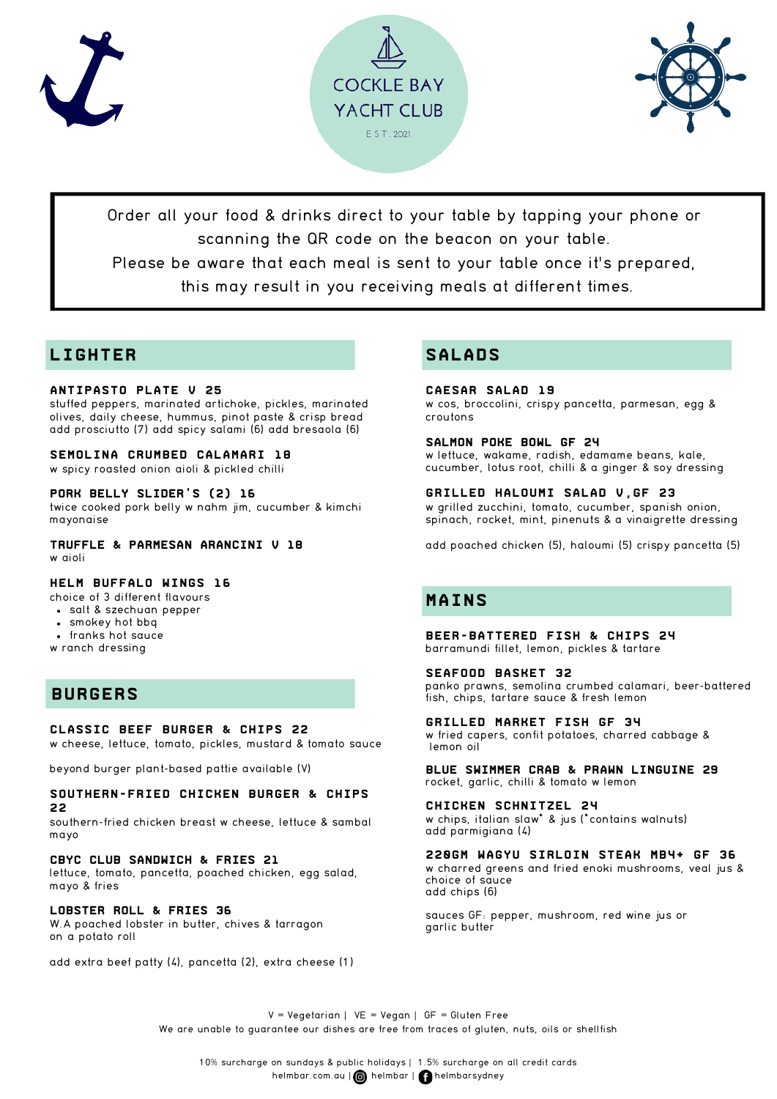





Order all your food & drinks direct to your table by tapping your phone or scanning the QR code on the beacon on your table.

Please be aware that each meal is sent to your table once it's prepared,

this may result in you receiving meals at different times.

# **LIGHTER**

## **antipasto Plate V 25**

stuffed peppers, marinated artichoke, pickles, marinated olives, daily cheese, hummus, pinot paste & crisp bread add prosciutto (7) add spicy salami (6) add bresaola (6)

### **Semolina crumbed Calamari 18**

w spicy roasted onion aioli & pickled chilli

### **pork belly slider's (2) 16**

twice cooked pork belly w nahm jim, cucumber & kimchi mayonaise

**Truffle & Parmesan Arancini V 18** w aioli

## **helm Buffalo Wings 16**

choice of 3 different flavours

- salt & szechuan pepper
- smokey hot bbq
- franks hot sauce
- w ranch dressing

# **BURGERS**

### **Classic Beef Burger & Chips 22**

w cheese, lettuce, tomato, pickles, mustard & tomato sauce

beyond burger plant-based pattie available (V)

#### **Southern-fried Chicken Burger & Chips 22**

southern-fried chicken breast w cheese, lettuce & sambal mayo

### **CBYC Club Sandwich & FRIES 21**

lettuce, tomato, pancetta, poached chicken, egg salad, mayo & fries

### **Lobster roll & FRIES 36**

W.A poached lobster in butter, chives & tarragon on a potato roll

add extra beef patty (4), pancetta (2), extra cheese (1)

# **SALADS**

**Caesar Salad 19** w cos, broccolini, crispy pancetta, parmesan, egg & croutons

#### **Salmon Poke bowl GF 24**

w lettuce, wakame, radish, edamame beans, kale, cucumber, lotus root, chilli & a ginger & soy dressing

**Grilled Haloumi Salad V,GF 23** w grilled zucchini, tomato, cucumber, spanish onion, spinach, rocket, mint, pinenuts & a vinaigrette dressing

add poached chicken (5), haloumi (5) crispy pancetta (5)

# **MAINS**

**Beer-Battered Fish & Chips 24** barramundi fillet, lemon, pickles & tartare

#### **Seafood Basket 32**

panko prawns, semolina crumbed calamari, beer-battered fish, chips, tartare sauce & fresh lemon

**GRILLED MARKET FISH GF 34** w fried capers, confit potatoes, charred cabbage & lemon oil

**Blue Swimmer Crab & PRAWN Linguine 29** rocket, garlic, chilli & tomato w lemon

**Chicken Schnitzel 24** w chips, italian slaw\* & jus (\*contains walnuts) add parmigiana (4)

**220gm wagyu sirloin Steak mb4+ GF 36**

w charred greens and fried enoki mushrooms, veal jus & choice of sauce add chips (6)

sauces GF: pepper, mushroom, red wine jus or garlic butter

 $V = Vegetarian$  |  $VE = Vegan$  |  $GF = Gluten Free$ We are unable to guarantee our dishes are free from traces of gluten, nuts, oils or shellfish